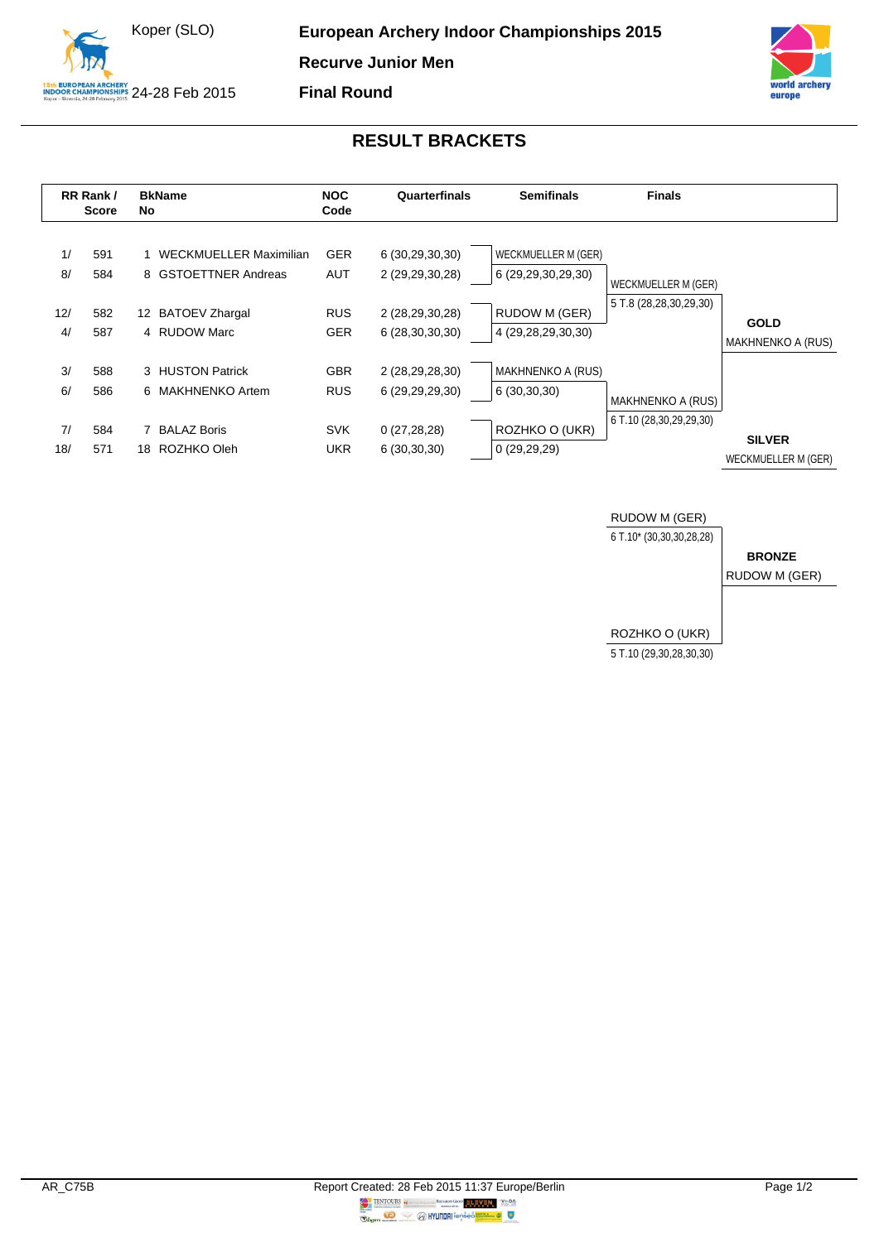



## **RESULT BRACKETS**